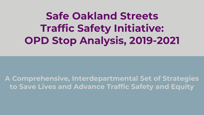**Safe Oakland Streets Traffic Safety Initiative: OPD Stop Analysis, 2019-2021**

**A Comprehensive, Interdepartmental Set of Strategies to Save Lives and Advance Traffic Safety and Equity**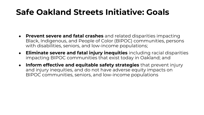#### **Safe Oakland Streets Initiative: Goals**

- **Prevent severe and fatal crashes** and related disparities impacting Black, Indigenous, and People of Color (BIPOC) communities, persons with disabilities, seniors, and low-income populations;
- **Eliminate severe and fatal injury inequities** including racial disparities impacting BIPOC communities that exist today in Oakland; and
- **Inform effective and equitable safety strategies** that prevent injury and injury inequities, and do not have adverse equity impacts on BIPOC communities, seniors, and low-income populations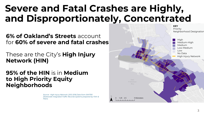#### **Severe and Fatal Crashes are Highly, and Disproportionately, Concentrated**

**6% of Oakland's Streets** account for **60% of severe and fatal crashes** 

These are the City's **High Injury Network (HIN)**

**95% of the HIN** is in **Medium to High Priority Equity Neighborhoods**

> Source: High Injury Network: 2012-2016 Data from SWITRS (Statewide Integrated Traffic Records System) prepared by Fehr & Peers.

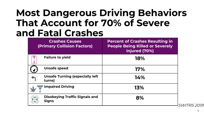#### **Most Dangerous Driving Behaviors That Account for 70% of Severe and Fatal Crashes**

| <b>Percent of Crashes Resulting in</b><br><b>People Being Killed or Severely</b><br>Injured (70%) |                    |
|---------------------------------------------------------------------------------------------------|--------------------|
| 18%                                                                                               |                    |
| 17%                                                                                               |                    |
| 14%                                                                                               |                    |
| 13%                                                                                               |                    |
| 8%                                                                                                | <i>SWITRS 2019</i> |
|                                                                                                   |                    |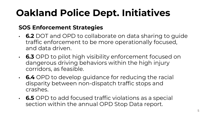# **Oakland Police Dept. Initiatives**

#### **SOS Enforcement Strategies**

- **6.2** DOT and OPD to collaborate on data sharing to guide traffic enforcement to be more operationally focused, and data driven.
- **6.3** OPD to pilot high visibility enforcement focused on dangerous driving behaviors within the high injury corridors, as feasible.
- **6.4** OPD to develop guidance for reducing the racial disparity between non-dispatch traffic stops and crashes.
- **6.5** OPD to add focused traffic violations as a special section within the annual OPD Stop Data report.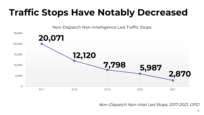#### **Traffic Stops Have Notably Decreased**

Non-Dispatch Non-Intelligence Led Traffic Stops



Non-Dispatch Non-Intel Led Stops, 2017-2021, OPD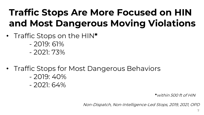### **Traffic Stops Are More Focused on HIN and Most Dangerous Moving Violations**

- Traffic Stops on the HIN**\*** 
	- 2019: 61%
	- $-2021.73\%$
- Traffic Stops for Most Dangerous Behaviors
	- $-2019:40\%$
	- 2021: 64%

**\***within 500 ft of HIN

Non-Dispatch, Non-Intelligence-Led Stops, 2019, 2021, OPD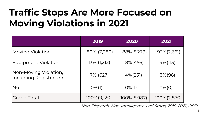### **Traffic Stops Are More Focused on Moving Violations in 2021**

|                                                 | 2019         | 2020         | 2021         |
|-------------------------------------------------|--------------|--------------|--------------|
| Moving Violation                                | 80% (7,280)  | 88% (5,279)  | 93% (2,661)  |
| Equipment Violation                             | 13% (1,212)  | $8\% (456)$  | $4\%$ (113)  |
| Non-Moving Violation,<br>Including Registration | 7% (627)     | $4\% (251)$  | 3% (96)      |
| <b>Null</b>                                     | $O\%$ (1)    | $O\%$ (1)    | $O\% (O)$    |
| <b>Crand Total</b>                              | 100% (9,120) | 100% (5,987) | 100% (2,870) |

Non-Dispatch, Non-Intelligence-Led Stops, 2019-2021, OPD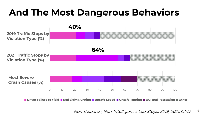#### **And The Most Dangerous Behaviors**



■ Driver Failure to Yield ■ Red Light Running ■ Unsafe Speed ■ Unsafe Turning ■ DUI and Possession ■ Other

Non-Dispatch, Non-Intelligence-Led Stops, 2019, 2021, OPD

9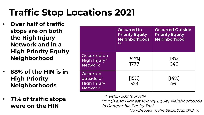### **Traffic Stop Locations 2021**

- **Over half of traffic stops are on both the High Injury Network and in a High Priority Equity Neighborhood**
- **68% of the HIN is in High Priority Neighborhoods**
- **71% of traffic stops were on the HIN**

|                                                                | Occurred in<br><b>Priority Equity</b><br><b>Neighborhoods</b><br>$**$ | <b>Occurred Outside</b><br><b>Priority Equity</b><br><b>Neighborhood</b> |
|----------------------------------------------------------------|-----------------------------------------------------------------------|--------------------------------------------------------------------------|
| Occurred on<br>High Injury*<br><b>Network</b>                  | [52%]<br>1777                                                         | $[19\%]$<br>646                                                          |
| Occurred<br>outside of<br><b>High Injury</b><br><b>Network</b> | $[15\%]$<br>523                                                       | $[14\%]$<br>461                                                          |

**Non-Dispatch Traffic Stops, 2021, OPD 1**0 **\***within 500 ft of HIN \*\*High and Highest Priority Equity Neighborhoods in Geographic Equity Tool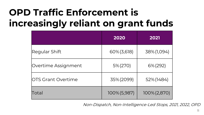### **OPD Traffic Enforcement is increasingly reliant on grant funds**

|                            | 2020         | 2021            |
|----------------------------|--------------|-----------------|
| Regular Shift              | 60% (3,618)  | 38% (1,094)     |
| Overtime Assignment        | 5% (270)     | 6% (292)        |
| <b>IOTS Grant Overtime</b> | 35% (2099)   | 52% (1484)      |
| Total                      | 100% (5,987) | $100\% (2,870)$ |

Non-Dispatch, Non-Intelligence-Led Stops, 2021, 2022, OPD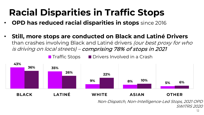## **Racial Disparities in Traffic Stops**

- **OPD has reduced racial disparities in stops** since 2016
- **Still, more stops are conducted on Black and Latiné Drivers** than crashes involving Black and Latiné drivers *(our best proxy for who* is driving on local streets) – comprising 78% of stops in 2021



Non-Dispatch, Non-Intelligence-Led Stops, 2021 OPD SWITRS 2020